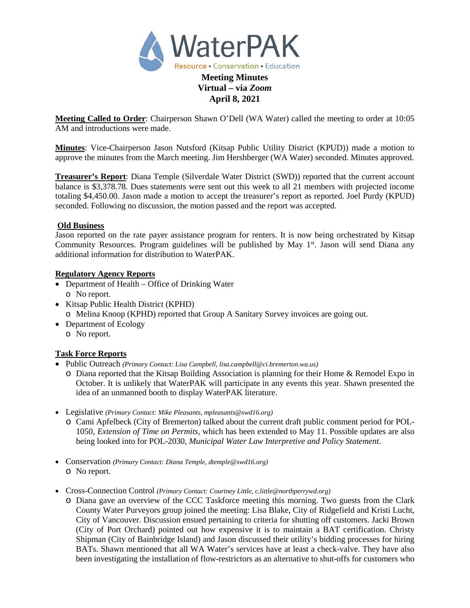

# **Virtual – via** *Zoom* **April 8, 2021**

**Meeting Called to Order**: Chairperson Shawn O'Dell (WA Water) called the meeting to order at 10:05 AM and introductions were made.

**Minutes**: Vice-Chairperson Jason Nutsford (Kitsap Public Utility District (KPUD)) made a motion to approve the minutes from the March meeting. Jim Hershberger (WA Water) seconded. Minutes approved.

**Treasurer's Report**: Diana Temple (Silverdale Water District (SWD)) reported that the current account balance is \$3,378.78. Dues statements were sent out this week to all 21 members with projected income totaling \$4,450.00. Jason made a motion to accept the treasurer's report as reported. Joel Purdy (KPUD) seconded. Following no discussion, the motion passed and the report was accepted.

#### **Old Business**

Jason reported on the rate payer assistance program for renters. It is now being orchestrated by Kitsap Community Resources. Program guidelines will be published by May  $1<sup>st</sup>$ . Jason will send Diana any additional information for distribution to WaterPAK.

#### **Regulatory Agency Reports**

- Department of Health Office of Drinking Water o No report.
- Kitsap Public Health District (KPHD) o Melina Knoop (KPHD) reported that Group A Sanitary Survey invoices are going out.
- Department of Ecology
	- o No report.

# **Task Force Reports**

- Public Outreach *(Primary Contact: Lisa Campbell, lisa.campbell@ci.bremerton.wa.us)*
	- o Diana reported that the Kitsap Building Association is planning for their Home & Remodel Expo in October. It is unlikely that WaterPAK will participate in any events this year. Shawn presented the idea of an unmanned booth to display WaterPAK literature.
- Legislative *(Primary Contact: Mike Pleasants, mpleasants@swd16.org)* 
	- o Cami Apfelbeck (City of Bremerton) talked about the current draft public comment period for POL-1050*, Extension of Time on Permits*, which has been extended to May 11. Possible updates are also being looked into for POL-2030, *Municipal Water Law Interpretive and Policy Statement*.
- Conservation *(Primary Contact: Diana Temple, dtemple@swd16.org)* o No report.
- Cross-Connection Control *(Primary Contact: Courtney Little[, c.little@northperrywd.org\)](mailto:c.little@northperrywd.org)*
	- o Diana gave an overview of the CCC Taskforce meeting this morning. Two guests from the Clark County Water Purveyors group joined the meeting: Lisa Blake, City of Ridgefield and Kristi Lucht, City of Vancouver. Discussion ensued pertaining to criteria for shutting off customers. Jacki Brown (City of Port Orchard) pointed out how expensive it is to maintain a BAT certification. Christy Shipman (City of Bainbridge Island) and Jason discussed their utility's bidding processes for hiring BATs. Shawn mentioned that all WA Water's services have at least a check-valve. They have also been investigating the installation of flow-restrictors as an alternative to shut-offs for customers who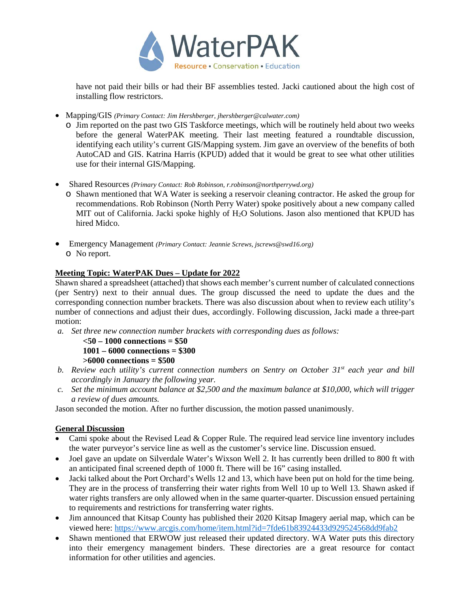

have not paid their bills or had their BF assemblies tested. Jacki cautioned about the high cost of installing flow restrictors.

- Mapping/GIS *(Primary Contact: Jim Hershberger, jhershberger@calwater.com)*
	- o Jim reported on the past two GIS Taskforce meetings, which will be routinely held about two weeks before the general WaterPAK meeting. Their last meeting featured a roundtable discussion, identifying each utility's current GIS/Mapping system. Jim gave an overview of the benefits of both AutoCAD and GIS. Katrina Harris (KPUD) added that it would be great to see what other utilities use for their internal GIS/Mapping.
- Shared Resources *(Primary Contact: Rob Robinson, r.robinson@northperrywd.org)*
	- o Shawn mentioned that WA Water is seeking a reservoir cleaning contractor. He asked the group for recommendations. Rob Robinson (North Perry Water) spoke positively about a new company called MIT out of California. Jacki spoke highly of  $H_2O$  Solutions. Jason also mentioned that KPUD has hired Midco.
- Emergency Management *(Primary Contact: Jeannie Screws, jscrews@swd16.org)* o No report.

# **Meeting Topic: WaterPAK Dues – Update for 2022**

Shawn shared a spreadsheet (attached) that shows each member's current number of calculated connections (per Sentry) next to their annual dues. The group discussed the need to update the dues and the corresponding connection number brackets. There was also discussion about when to review each utility's number of connections and adjust their dues, accordingly. Following discussion, Jacki made a three-part motion:

*a. Set three new connection number brackets with corresponding dues as follows:*

**<50 – 1000 connections = \$50**

**1001 – 6000 connections = \$300**

**>6000 connections = \$500**

- *b. Review each utility's current connection numbers on Sentry on October 31st each year and bill accordingly in January the following year.*
- *c. Set the minimum account balance at \$2,500 and the maximum balance at \$10,000, which will trigger a review of dues amounts.*

Jason seconded the motion. After no further discussion, the motion passed unanimously.

# **General Discussion**

- Cami spoke about the Revised Lead & Copper Rule. The required lead service line inventory includes the water purveyor's service line as well as the customer's service line. Discussion ensued.
- Joel gave an update on Silverdale Water's Wixson Well 2. It has currently been drilled to 800 ft with an anticipated final screened depth of 1000 ft. There will be 16" casing installed.
- Jacki talked about the Port Orchard's Wells 12 and 13, which have been put on hold for the time being. They are in the process of transferring their water rights from Well 10 up to Well 13. Shawn asked if water rights transfers are only allowed when in the same quarter-quarter. Discussion ensued pertaining to requirements and restrictions for transferring water rights.
- Jim announced that Kitsap County has published their 2020 Kitsap Imagery aerial map, which can be viewed here:<https://www.arcgis.com/home/item.html?id=7fde61b83924433d929524568dd9fab2>
- Shawn mentioned that ERWOW just released their updated directory. WA Water puts this directory into their emergency management binders. These directories are a great resource for contact information for other utilities and agencies.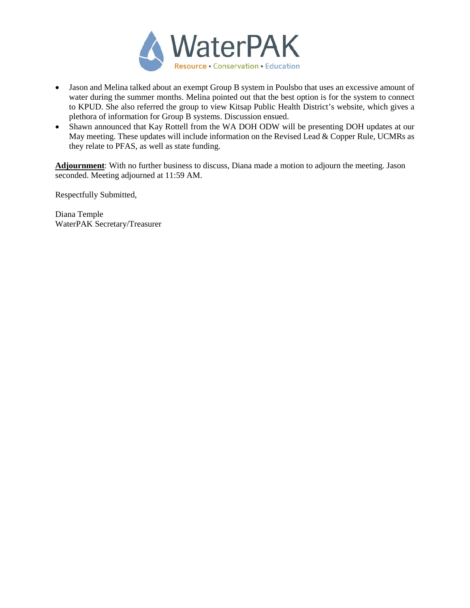

- Jason and Melina talked about an exempt Group B system in Poulsbo that uses an excessive amount of water during the summer months. Melina pointed out that the best option is for the system to connect to KPUD. She also referred the group to view Kitsap Public Health District's website, which gives a plethora of information for Group B systems. Discussion ensued.
- Shawn announced that Kay Rottell from the WA DOH ODW will be presenting DOH updates at our May meeting. These updates will include information on the Revised Lead & Copper Rule, UCMRs as they relate to PFAS, as well as state funding.

**Adjournment**: With no further business to discuss, Diana made a motion to adjourn the meeting. Jason seconded. Meeting adjourned at 11:59 AM.

Respectfully Submitted,

Diana Temple WaterPAK Secretary/Treasurer